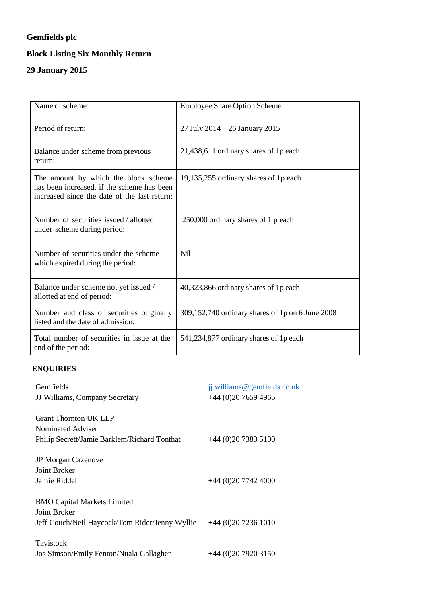## **Gemfields plc**

# **Block Listing Six Monthly Return**

## **29 January 2015**

| Name of scheme:                                                                                                                    | <b>Employee Share Option Scheme</b>              |
|------------------------------------------------------------------------------------------------------------------------------------|--------------------------------------------------|
|                                                                                                                                    |                                                  |
| Period of return:                                                                                                                  | 27 July 2014 - 26 January 2015                   |
|                                                                                                                                    |                                                  |
| Balance under scheme from previous<br>return:                                                                                      | 21,438,611 ordinary shares of 1p each            |
| The amount by which the block scheme<br>has been increased, if the scheme has been<br>increased since the date of the last return: | 19,135,255 ordinary shares of 1p each            |
| Number of securities issued / allotted<br>under scheme during period:                                                              | 250,000 ordinary shares of 1 p each              |
| Number of securities under the scheme<br>which expired during the period:                                                          | N <sub>il</sub>                                  |
| Balance under scheme not yet issued /<br>allotted at end of period:                                                                | 40,323,866 ordinary shares of 1p each            |
| Number and class of securities originally<br>listed and the date of admission:                                                     | 309,152,740 ordinary shares of 1p on 6 June 2008 |
| Total number of securities in issue at the<br>end of the period:                                                                   | 541,234,877 ordinary shares of 1p each           |

### **ENQUIRIES**

| Gemfields                                      | jj.williams@gemfields.co.uk |
|------------------------------------------------|-----------------------------|
| JJ Williams, Company Secretary                 | $+44$ (0)20 7659 4965       |
|                                                |                             |
| Grant Thornton UK LLP                          |                             |
| Nominated Adviser                              |                             |
| Philip Secrett/Jamie Barklem/Richard Tonthat   | $+44(0)2073835100$          |
|                                                |                             |
| <b>JP Morgan Cazenove</b>                      |                             |
| Joint Broker                                   |                             |
| Jamie Riddell                                  | $+44(0)2077424000$          |
|                                                |                             |
| <b>BMO Capital Markets Limited</b>             |                             |
| Joint Broker                                   |                             |
| Jeff Couch/Neil Haycock/Tom Rider/Jenny Wyllie | $+44(0)2072361010$          |
|                                                |                             |
| Tavistock                                      |                             |
| Jos Simson/Emily Fenton/Nuala Gallagher        | $+44(0)2079203150$          |